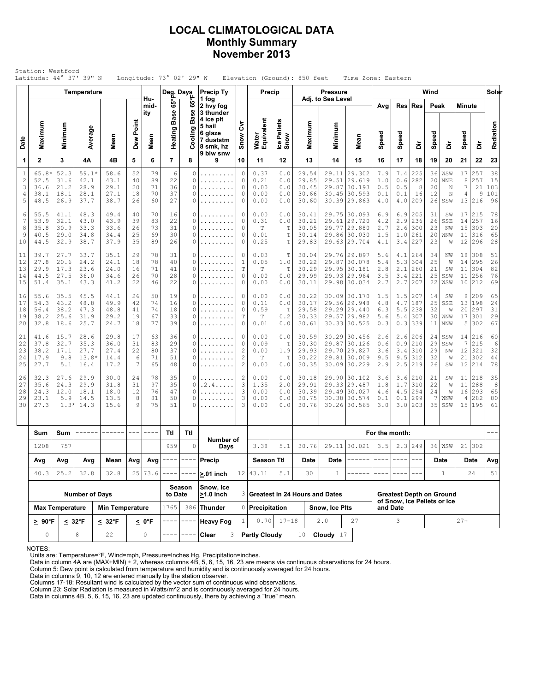## LOCAL CLIMATOLOGICAL DATA Monthly Summary November 2013

|                                           |                                      |                                      | Temperature                             |                                      |                                                                                                                                                                                                                                                                                                                                                                                              |                            | Deg. Days                  |                       | <b>Precip Ty</b>                                                      |                                                              | Precip                                      |                                               |                                           | <b>Pressure</b>   |                                                                              |                                 |                                   |                                 | Wind                                   |                                    |                                      |                                          | Solar                              |
|-------------------------------------------|--------------------------------------|--------------------------------------|-----------------------------------------|--------------------------------------|----------------------------------------------------------------------------------------------------------------------------------------------------------------------------------------------------------------------------------------------------------------------------------------------------------------------------------------------------------------------------------------------|----------------------------|----------------------------|-----------------------|-----------------------------------------------------------------------|--------------------------------------------------------------|---------------------------------------------|-----------------------------------------------|-------------------------------------------|-------------------|------------------------------------------------------------------------------|---------------------------------|-----------------------------------|---------------------------------|----------------------------------------|------------------------------------|--------------------------------------|------------------------------------------|------------------------------------|
|                                           |                                      |                                      |                                         |                                      |                                                                                                                                                                                                                                                                                                                                                                                              | Hu-<br>mid-<br>ity         | $65^{\circ}$               | မ္မ                   | 1 fog<br>2 hvy fog<br>3 thunder                                       |                                                              |                                             |                                               |                                           | Adj. to Sea Level |                                                                              | Avg                             | Res                               | <b>Res</b>                      | Peak                                   |                                    | <b>Minute</b>                        |                                          |                                    |
| Date                                      | Maximum                              | Minimum                              | Average                                 | Mean                                 | Dew Point                                                                                                                                                                                                                                                                                                                                                                                    | Mean                       | <b>Base</b><br>Heating     | <b>Base</b><br>oling  | 4 ice plt<br>5 hail<br>6 glaze<br>7 duststm<br>8 smk, hz<br>9 blw snw | ξ<br>Snow                                                    | Water<br>Equivalent                         | Pellets<br>lce Pel<br>Snow                    | Maximum                                   | Minimum           | Mean                                                                         | Speed                           | Speed                             | à                               | Speed                                  | å                                  | Speed                                | ă                                        | Radiation                          |
| 1                                         | $\mathbf{2}$                         | 3                                    | 4Α                                      | 4B                                   | 5                                                                                                                                                                                                                                                                                                                                                                                            | 6                          | $\overline{7}$             | 8                     | 9                                                                     | 10                                                           | 11                                          | 12                                            | 13                                        | 14                | 15                                                                           | 16                              | 17                                | 18                              | 19                                     | 20                                 | 21                                   | 22                                       | 23                                 |
| $\mathbf{1}$<br>$\sqrt{2}$<br>3<br>4<br>5 | 65.8<br>52.5<br>36.6<br>38.1<br>48.5 | 52.3<br>31.6<br>21.2<br>18.1<br>26.9 | $59.1*$<br>42.1<br>28.9<br>28.1<br>37.7 | 58.6<br>43.1<br>29.1<br>27.1<br>38.7 | 52<br>40<br>20<br>18<br>26                                                                                                                                                                                                                                                                                                                                                                   | 79<br>89<br>71<br>70<br>60 | 6<br>22<br>36<br>37<br>27  | 0<br>0<br>0<br>0<br>0 | .<br>.<br>.                                                           | 0<br>0<br>0<br>0<br>0                                        | 0.37<br>0.21<br>0.00<br>0.00<br>0.00        | 0.0<br>0.0<br>0.0<br>0.0<br>0.0               | 29.54<br>29.85<br>30.45<br>30.66<br>30.60 | 29.11<br>29.51    | 29.302<br>29.619<br>29.87 30.193<br>30.45 30.593<br>30.39 29.863             | 7.9<br>1.0<br>0.5<br>0.1<br>4.0 | 7.4<br>0.6<br>0.5<br>0.1<br>4.0   | 225<br>282<br>8<br>16<br>209    | 36<br>20<br>20<br>12<br>26             | WSW<br><b>NNE</b><br>N<br>N<br>SSW | 17<br>8<br>$\overline{7}$<br>4<br>13 | 257<br>257<br>21<br>9<br>216             | 38<br>15<br>103<br>101<br>96       |
| 6<br>$\overline{7}$<br>8<br>9<br>10       | 55.5<br>53.9<br>35.8<br>40.5<br>44.5 | 41.1<br>32.1<br>30.9<br>29.0<br>32.9 | 48.3<br>43.0<br>33.3<br>34.8<br>38.7    | 49.4<br>43.9<br>33.6<br>34.4<br>37.9 | 40<br>39<br>26<br>25<br>35                                                                                                                                                                                                                                                                                                                                                                   | 70<br>83<br>73<br>69<br>89 | 16<br>22<br>31<br>30<br>26 | 0<br>0<br>0<br>0<br>0 | .<br>.<br>.                                                           | 0<br>0<br>0<br>0<br>0                                        | 0.00<br>0.31<br>T<br>0.01<br>0.25           | 0.0<br>0.0<br>T<br>$\mathbb T$<br>$\mathbb T$ | 30.41<br>30.21<br>30.05<br>30.14<br>29.83 | 29.61             | 29.75 30.093<br> 29.720<br>29,77 29,880<br>29.86 30.030<br>29.63 29.704      | 6.9<br>4.2<br>2.7<br>1.5<br>4.1 | 6.9<br>2.9<br>2.6<br>$1.0$<br>3.4 | 205<br>236<br>300<br>261<br>227 | 31<br>26<br>23<br>20<br>23             | SW<br>SSE<br>NW<br>WNW<br>W        | 17<br>14<br>15<br>11<br>12           | 215<br>257<br>303<br>316<br>296          | 78<br>16<br>20<br>65<br>28         |
| 11<br>12<br>13<br>14<br>15                | 39.7<br>27.8<br>29.9<br>44.5<br>51.4 | 27.7<br>20.6<br>17.3<br>27.5<br>35.1 | 33.7<br>24.2<br>23.6<br>36.0<br>43.3    | 35.1<br>24.1<br>24.0<br>34.6<br>41.2 | 29<br>18<br>16<br>26<br>22                                                                                                                                                                                                                                                                                                                                                                   | 78<br>78<br>71<br>70<br>46 | 31<br>40<br>41<br>28<br>22 | 0<br>0<br>0<br>0<br>0 | .<br>.<br>.<br>.                                                      | 0<br>$\mathbf{1}$<br>T<br>0<br>0                             | 0.03<br>0.05<br>$\mathbb T$<br>0.00<br>0.00 | Т<br>1.0<br>T<br>0.0<br>0.0                   | 30.04<br>30.22<br>30.29<br>29.99<br>30.11 |                   | 29.76 29.897<br>29.87 30.078<br>29.95 30.181<br>29.93 29.964<br>29.98 30.034 | 5.6<br>5.4<br>2.8<br>3.5<br>2.7 | 4.1<br>5.3<br>2.1<br>3.4<br>2.7   | 264<br>304<br>260<br>221<br>207 | 34<br>25<br>21<br>25<br>22             | ΝW<br>W<br>SW<br>SSW<br>WSW        | 18<br>14<br>11<br>11<br>10           | 308<br>295<br>304<br>256<br>212          | 51<br>26<br>82<br>76<br>69         |
| 16<br>17<br>18<br>19<br>20                | 55.6<br>54.3<br>56.4<br>38.2<br>32.8 | 35.5<br>43.2<br>38.2<br>25.6<br>18.6 | 45.5<br>48.8<br>47.3<br>31.9<br>25.7    | 44.1<br>49.9<br>48.8<br>29.2<br>24.7 | 26<br>42<br>41<br>19<br>18                                                                                                                                                                                                                                                                                                                                                                   | 50<br>74<br>74<br>67<br>77 | 19<br>16<br>18<br>33<br>39 | 0<br>0<br>0<br>0<br>0 | .<br>.<br>.<br>.                                                      | 0<br>0<br>0<br>$\mathbb T$<br>0                              | 0.00<br>0.11<br>0.59<br>Т<br>0.01           | 0.0<br>0.0<br>T<br>0.2<br>0.0                 | 30.22<br>30.17<br>29.58<br>30.33<br>30.61 | 29.57             | 30.09 30.170<br>29.56 29.948<br>29.29 29.440<br> 29.982<br>30.33 30.525      | 1.5<br>4.8<br>6.3<br>5.6<br>0.3 | 1.5<br>4.7<br>5.5<br>5.4<br>0.3   | 207<br>187<br>238<br>307<br>339 | 14<br>25<br>32<br>30<br>11             | SW<br>SSE<br>W<br>WNW<br>NNW       | 8<br>13<br>20<br>17<br>5             | 209<br>198<br>297<br>301<br>302          | 65<br>24<br>31<br>29<br>67         |
| 21<br>22<br>23<br>24<br>25                | 41.6<br>37.8<br>38.2<br>17.9<br>27.7 | 15.7<br>32.7<br>17.1<br>9.8<br>5.1   | 28.6<br>35.3<br>27.7<br>$13.8*$<br>16.4 | 29.8<br>36.0<br>27.4<br>14.4<br>17.2 | 17<br>31<br>22<br>6<br>7                                                                                                                                                                                                                                                                                                                                                                     | 63<br>83<br>80<br>71<br>65 | 36<br>29<br>37<br>51<br>48 | 0<br>0<br>0<br>0<br>0 | .<br>.<br>.                                                           | 0<br>0<br>$\overline{c}$<br>$\overline{c}$<br>$\overline{c}$ | 0.00<br>0.09<br>0.00<br>$\mathbb T$<br>0.00 | 0.0<br>T<br>1.9<br>T<br>0.0                   | 30.59<br>30.30<br>29.93<br>30.22<br>30.35 | 29.81             | 30.29 30.456<br>29.87 30.126<br>29.70 29.827<br> 30.009<br>30.09 30.229      | 2.6<br>0.6<br>3.6<br>9.5<br>2.9 | 2.6<br>0.9<br>3.4<br>9.5<br>2.5   | 206<br>210<br>310<br>312<br>219 | 24<br>29<br>29<br>32<br>26             | SSW<br>SSW<br>NW<br>W<br>SW        | 7<br>12<br>21<br>12                  | 14 216<br>215<br>321<br>302<br>214       | 60<br>$\epsilon$<br>32<br>44<br>78 |
| 26<br>27<br>28<br>29<br>30                | 32.3<br>35.6<br>24.3<br>23.1<br>27.3 | 27.6<br>24.3<br>12.0<br>5.9<br>1.31  | 29.9<br>29.9<br>18.1<br>14.5<br>14.3    | 30.0<br>31.8<br>18.0<br>13.5<br>15.6 | 24<br>31<br>12<br>8<br>9                                                                                                                                                                                                                                                                                                                                                                     | 78<br>97<br>76<br>81<br>75 | 35<br>35<br>47<br>50<br>51 | 0<br>0<br>0<br>0<br>O | $.2.4. \ldots$<br>.                                                   | 2<br>3<br>3<br>3<br>3                                        | 0.00<br>1.35<br>0.00<br>0.00<br>0.00        | 0.0<br>2.0<br>0.0<br>0.0<br>0.0               | 30.18<br>29.91<br>30.39<br>30.75<br>30.76 | 29.33             | 29.90 30.102<br>29.487<br>29.49 30.027<br>30.38 30.574<br>30.26 30.565       | 3.6<br>1.8<br>4.6<br>0.1<br>3.0 | 3.6<br>1.7<br>4.5<br>0.1<br>3.0   | 210<br>310<br>294<br>299<br>203 | 21<br>22<br>24<br>$\overline{7}$<br>35 | SW<br>W<br>W<br>WNW<br>SSW         | 11<br>4                              | 11 218<br>288<br>16 293<br>282<br>15 195 | 35<br>8<br>65<br>80<br>61          |
|                                           |                                      |                                      |                                         |                                      | $\frac{1}{2} \frac{1}{2} \frac{1}{2} \frac{1}{2} \frac{1}{2} \frac{1}{2} \frac{1}{2} \frac{1}{2} \frac{1}{2} \frac{1}{2} \frac{1}{2} \frac{1}{2} \frac{1}{2} \frac{1}{2} \frac{1}{2} \frac{1}{2} \frac{1}{2} \frac{1}{2} \frac{1}{2} \frac{1}{2} \frac{1}{2} \frac{1}{2} \frac{1}{2} \frac{1}{2} \frac{1}{2} \frac{1}{2} \frac{1}{2} \frac{1}{2} \frac{1}{2} \frac{1}{2} \frac{1}{2} \frac{$ | ----                       | Ttl                        | Ttl                   |                                                                       |                                                              |                                             |                                               |                                           |                   |                                                                              | For the month:                  |                                   |                                 |                                        |                                    |                                      |                                          |                                    |
|                                           | 1208                                 | -------<br>Sum<br>Sum<br>757         |                                         |                                      |                                                                                                                                                                                                                                                                                                                                                                                              | 959                        | $\circ$                    | Number of<br>Days     |                                                                       | 3.38                                                         | 5.1                                         | 30.76                                         |                                           | 29.11 30.021      | 3.5                                                                          |                                 | $2.3$ 249                         |                                 | $36$ $WSW$                             |                                    | 21 302                               |                                          |                                    |
|                                           | Avg                                  | Avg                                  | Avg                                     | Mean                                 | Avg                                                                                                                                                                                                                                                                                                                                                                                          | Avg                        | $- - - - -$                | ----                  | Precip                                                                |                                                              | Season Ttl                                  |                                               | Date                                      | Date              | ------                                                                       | ----                            | ----                              |                                 |                                        | Date                               |                                      | Date                                     | Avg                                |
|                                           | 40.3                                 | 25.2                                 | 32.8                                    | 32.8                                 |                                                                                                                                                                                                                                                                                                                                                                                              | 25 73.6                    |                            |                       | $> 01$ inch                                                           |                                                              | $12$   43.11                                | 5.1                                           | 30                                        | $\mathbf{1}$      |                                                                              |                                 |                                   |                                 |                                        | $\mathbf{1}$                       |                                      | 24                                       | 51                                 |
|                                           |                                      |                                      | <b>Number of Days</b>                   |                                      |                                                                                                                                                                                                                                                                                                                                                                                              |                            | to Date                    | Season                | Snow, Ice<br>$\geq$ 1.0 inch                                          |                                                              |                                             |                                               | 3 Greatest in 24 Hours and Dates          |                   |                                                                              |                                 |                                   |                                 | <b>Greatest Depth on Ground</b>        |                                    |                                      |                                          |                                    |
|                                           | <b>Max Temperature</b>               | <b>Min Temperature</b>               |                                         |                                      | 1765                                                                                                                                                                                                                                                                                                                                                                                         |                            | 386 Thunder                |                       | 0 Precipitation                                                       |                                                              |                                             | Snow, Ice Plts                                |                                           |                   | and Date                                                                     | of Snow, Ice Pellets or Ice     |                                   |                                 |                                        |                                    |                                      |                                          |                                    |
|                                           | $\geq 90^{\circ}F$                   |                                      | $< 32^{\circ}F$                         | $\leq 32^{\circ}F$                   |                                                                                                                                                                                                                                                                                                                                                                                              | < 0°F                      |                            |                       | <b>Heavy Fog</b>                                                      |                                                              |                                             | $0.70$ 17-18                                  |                                           | 2.0               | 27                                                                           |                                 | 3                                 |                                 |                                        |                                    | $27+$                                |                                          |                                    |
|                                           | 0                                    |                                      | 8                                       | 22                                   |                                                                                                                                                                                                                                                                                                                                                                                              | $\circ$                    |                            |                       | Clear<br>3                                                            |                                                              | <b>Partly Cloudy</b>                        |                                               | 10                                        | Cloudy $17$       |                                                                              |                                 |                                   |                                 |                                        |                                    |                                      |                                          |                                    |

NOTES:

Units are: Temperature=°F, Wind=mph, Pressure=Inches Hg, Precipitation=inches. Data in column 4A are (MAX+MIN) ÷ 2, whereas columns 4B, 5, 6, 15, 16, 23 are means via continuous observations for 24 hours.

Column 5: Dew point is calculated from temperature and humidity and is continuously averaged for 24 hours. Data in columns 9, 10, 12 are entered manually by the station observer.

Columns 17-18: Resultant wind is calculated by the vector sum of continuous wind observations.<br>Column 23: Solar Radiation is measured in Watts/m^2 and is continuously averaged for 24 hours.<br>Data in columns 4B, 5, 6, 15, 16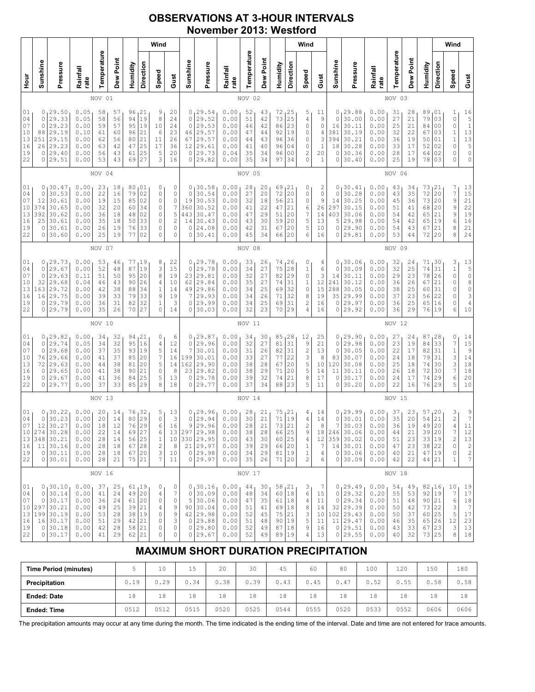## OBSERVATIONS AT 3-HOUR INTERVALS November 2013: Westford

|                                                                                                                                                                                                                                                                                                                                                                                                                                                                             |                                            |                                                                                        |                                                              |                                              |                                              |                                                                     |                                               | Wind                                                                               |                                                                        |                                                  |                                                                                       |                                                              |                                                            |                                              |                                                                 |                                               | Wind                                                                   |                                                              |                                              |                                                                                                     |                                                              |                                                          |                                                                       |                                                                                                       |                                               | Wind                                                                              |                                                                                                     |
|-----------------------------------------------------------------------------------------------------------------------------------------------------------------------------------------------------------------------------------------------------------------------------------------------------------------------------------------------------------------------------------------------------------------------------------------------------------------------------|--------------------------------------------|----------------------------------------------------------------------------------------|--------------------------------------------------------------|----------------------------------------------|----------------------------------------------|---------------------------------------------------------------------|-----------------------------------------------|------------------------------------------------------------------------------------|------------------------------------------------------------------------|--------------------------------------------------|---------------------------------------------------------------------------------------|--------------------------------------------------------------|------------------------------------------------------------|----------------------------------------------|-----------------------------------------------------------------|-----------------------------------------------|------------------------------------------------------------------------|--------------------------------------------------------------|----------------------------------------------|-----------------------------------------------------------------------------------------------------|--------------------------------------------------------------|----------------------------------------------------------|-----------------------------------------------------------------------|-------------------------------------------------------------------------------------------------------|-----------------------------------------------|-----------------------------------------------------------------------------------|-----------------------------------------------------------------------------------------------------|
| 늘<br>오                                                                                                                                                                                                                                                                                                                                                                                                                                                                      | Sunshine                                   | Pressure                                                                               | Rainfall<br>rate                                             | Temperature                                  | Dew Point                                    | Humidity                                                            | Direction                                     | Speed                                                                              | Gust                                                                   | Sunshine                                         | Pressure                                                                              | Rainfall<br>rate                                             | Temperature                                                | Dew Point                                    | Humidity                                                        | Direction                                     | Speed                                                                  | Gust                                                         | Sunshine                                     | Pressure                                                                                            | Rainfall<br>rate                                             | Temperature                                              | Dew Point                                                             | Humidity                                                                                              | Direction                                     | Speed                                                                             | Gust                                                                                                |
|                                                                                                                                                                                                                                                                                                                                                                                                                                                                             | NOV 01                                     |                                                                                        |                                                              |                                              |                                              |                                                                     |                                               |                                                                                    |                                                                        |                                                  |                                                                                       |                                                              | NOV 02                                                     |                                              |                                                                 |                                               |                                                                        |                                                              |                                              |                                                                                                     |                                                              | NOV 03                                                   |                                                                       |                                                                                                       |                                               |                                                                                   |                                                                                                     |
| 01<br>29.50<br>21<br>0<br>0.05<br>58<br>57<br>96<br>9<br>8<br>29.33<br>94<br>19<br>04<br>0.05<br>58<br>56<br>0<br>07<br>29.23<br>0.00<br>95<br>19<br>10<br>0<br>59<br>57<br>10<br>29.19<br>21<br>88<br>0.10<br>61<br>60<br>96<br>6<br>13<br>251<br>29.15<br>56<br>21<br>0.00<br>62<br>80<br>11<br>16<br>26<br>29.23<br>25<br>17<br>0.00<br>42<br>47<br>63<br>19<br>29.40<br>25<br>5<br>0<br>0.00<br>56<br>43<br>61<br>22<br>29.51<br>27<br>3<br>0<br>0.00<br>53<br>43<br>69 |                                            |                                                                                        |                                                              |                                              |                                              | 20<br>24<br>24<br>23<br>26<br>36<br>20<br>16                        | 0<br>$\circ$<br>0<br>46<br>67<br>12<br>0<br>0 | 29.54<br>29.52<br>29.53<br>29.57<br>29.57<br>29.61<br>29.73<br>29.82               | 0.00<br>0.00<br>0.00<br>0.00<br>0.00<br>0.00<br>0.04<br>0.00           | 52<br>51<br>46<br>47<br>44<br>41<br>35<br>35     | 43<br>42<br>42<br>44<br>43<br>40<br>34<br>34                                          | 72<br>73<br>86<br>92<br>96<br>96<br>96<br>97                 | 25 ر<br>25<br>23<br>19<br>36<br>04<br>0 <sub>0</sub><br>34 | 5<br>4<br>0<br>0<br>0<br>0<br>2<br>0         | 11<br>9<br>0<br>4<br>3<br>$\mathbf{1}$<br>20<br>$\mathbf{1}$    | 0<br>0<br>16<br>381<br>394<br>18<br>0<br>0    | 29.88<br>30.00<br>30.11<br>30.19<br>30.21<br>30.28<br>30.36<br>30.40   | 0.00<br>0.00<br>0.00<br>0.00<br>0.00<br>0.00<br>0.00<br>0.00 | 31<br>27<br>25<br>32<br>36<br>33<br>28<br>25 | 28<br>21<br>21<br>22<br>19<br>17<br>17<br>19                                                        | 89<br>79<br>84<br>67<br>50<br>52<br>64<br>78                 | 01<br>03<br>0 <sub>0</sub><br>03<br>01<br>02<br>02<br>03 | 1<br>$\circ$<br>0<br>$\mathbf 1$<br>$\mathbf 1$<br>0<br>0<br>$\Omega$ | $\begin{array}{c} 16 \\ 5 \\ 1 \\ 13 \end{array}$<br>$\begin{array}{c} 13 \\ 5 \\ 0 \end{array}$<br>0 |                                               |                                                                                   |                                                                                                     |
|                                                                                                                                                                                                                                                                                                                                                                                                                                                                             | NOV 04                                     |                                                                                        |                                                              |                                              |                                              |                                                                     |                                               |                                                                                    |                                                                        | NOV 05                                           |                                                                                       |                                                              |                                                            |                                              |                                                                 |                                               |                                                                        |                                                              | NOV 06                                       |                                                                                                     |                                                              |                                                          |                                                                       |                                                                                                       |                                               |                                                                                   |                                                                                                     |
| 01<br>04<br>07<br>10<br>13<br>16<br>19<br>22                                                                                                                                                                                                                                                                                                                                                                                                                                | 0<br>0<br>12<br>374<br>392<br>25<br>0<br>0 | 30.47<br>30.53<br>30.61<br>30.65<br>30.62<br>30.61<br>30.61<br>30.60                   | 0.00<br>0.00<br>0.00<br>0.00<br>0.00<br>0.00<br>0.00<br>0.00 | 23<br>22<br>19<br>32<br>36<br>35<br>26<br>25 | 18<br>16<br>15<br>20<br>18<br>18<br>19<br>19 | 80<br>79<br>85<br>60<br>48<br>50<br>76<br>77                        | 01<br>02<br>02<br>34<br>02<br>33<br>33<br>02  | 0<br>0<br>0<br>0<br>0<br>0<br>0<br>0                                               | 0<br>0<br>0<br>$\boldsymbol{7}$<br>5<br>$\sqrt{2}$<br>0<br>$\mathbf 0$ | 0<br>$\circ$<br>19<br>360<br>443<br>14<br>0<br>0 | 30.58<br>30.54<br>30.53<br>30.52<br>30.47<br>30.43<br>24.08<br>30.41                  | 0.00<br>0.00<br>0.00<br>0.00<br>0.00<br>0.00<br>0.00<br>0.00 | 28<br>27<br>32<br>41<br>47<br>43<br>42<br>45               | 20<br>20<br>18<br>22<br>29<br>30<br>31<br>34 | 69<br>72<br>56<br>47<br>51<br>59<br>67<br>66                    | 21<br>20<br>21<br>21<br>20<br>20<br>20<br>20  | 0<br>0<br>0<br>6<br>7<br>5<br>5<br>6                                   | 2<br>0<br>9<br>26<br>14<br>13<br>10<br>16                    | 0<br>0<br>14<br>297<br>403<br>5<br>0<br>0    | 30.41<br>30.28<br>30.25<br>30.15<br>30.06<br>29.98<br>29.90<br>29.81                                | 0.00<br>0.00<br>0.00<br>0.00<br>0.00<br>0.00<br>0.00<br>0.00 | 43<br>43<br>45<br>51<br>54<br>54<br>54<br>53             | 34<br>35<br>36<br>41<br>42<br>42<br>43<br>44                          | 73<br>72<br>73<br>68<br>65<br>65<br>67<br>72                                                          | 121<br>20<br>20<br>20<br>21<br>19<br>21<br>20 | 7<br>$\boldsymbol{7}$<br>9<br>9<br>9<br>$\epsilon$<br>8<br>8                      | 13<br>$1\,5$<br>21<br>22<br>$\begin{array}{c} 19 \\ 16 \end{array}$<br>21<br>24                     |
|                                                                                                                                                                                                                                                                                                                                                                                                                                                                             | NOV 07                                     |                                                                                        |                                                              |                                              |                                              |                                                                     |                                               |                                                                                    |                                                                        |                                                  | NOV 08                                                                                |                                                              |                                                            |                                              |                                                                 |                                               |                                                                        |                                                              |                                              | NOV 09                                                                                              |                                                              |                                                          |                                                                       |                                                                                                       |                                               |                                                                                   |                                                                                                     |
| 01<br>04<br>07<br>10<br>13<br>16<br>19<br>22                                                                                                                                                                                                                                                                                                                                                                                                                                | 0<br>0<br>0<br>32<br>163<br>16<br>0<br>0   | 29.73<br>29.67<br>29.63<br>29.68<br>29.72<br>29.75<br>29.79<br>29.79                   | 0.00<br>0.00<br>0.11<br>0.04<br>0.00<br>0.00<br>0.00<br>0.00 | 53<br>52<br>51<br>46<br>42<br>39<br>36<br>35 | 46<br>48<br>50<br>43<br>38<br>33<br>31<br>26 | 77<br>87<br>95<br>90<br>88<br>79<br>82<br>70                        | 19<br>19<br>20<br>26<br>34<br>33<br>32<br>27  | 8<br>3<br>8<br>4<br>1<br>9<br>$\mathbf 1$<br>0                                     | 22<br>15<br>19<br>10<br>14<br>19<br>3<br>14                            | 0<br>$\circ$<br>23<br>62<br>49<br>7<br>0<br>0    | 29.78<br>29.78<br>29.81<br>29.84<br>29.86<br>29.93<br>29.99<br>30.03                  | 0.00<br>0.00<br>0.00<br>0.00<br>0.00<br>0.00<br>0.00<br>0.00 | 33<br>34<br>32<br>35<br>34<br>34<br>34<br>32               | 26<br>27<br>27<br>27<br>25<br>26<br>25<br>23 | 74<br>75<br>82<br>74<br>69<br>71<br>69<br>70                    | 126<br>28<br>29<br>31<br>32<br>32<br>31<br>29 | 0<br>$\mathbf 1$<br>0<br>$\,1\,$<br>0<br>8<br>$\overline{c}$<br>4      | 4<br>6<br>3<br>12<br>15<br>19<br>16<br>16                    | 0<br>0<br>14<br>241<br>288<br>35<br>0<br>0   | 30.06<br>30.09<br>30.11<br>30.12<br>30.05<br>29.99<br>29.97<br>29.92                                | 0.00<br>0.00<br>0.00<br>0.00<br>0.00<br>0.00<br>0.00<br>0.00 | 32<br>32<br>29<br>36<br>38<br>37<br>36<br>36             | 24<br>25<br>23<br>26<br>25<br>23<br>25<br>29                          | 71<br>74<br>78<br>67<br>60<br>56<br>65<br>76                                                          | 30<br>31<br>26<br>21<br>31<br>22<br>16<br> 19 | 3<br>$\mathbf 1$<br>$\mathbb O$<br>0<br>0<br>0<br>0<br>6                          | $\begin{array}{c} 13 \\ 5 \\ 0 \end{array}$<br>$\begin{matrix} 8 \\ 0 \end{matrix}$<br>3<br>4<br>10 |
|                                                                                                                                                                                                                                                                                                                                                                                                                                                                             |                                            |                                                                                        |                                                              | NOV 10                                       |                                              |                                                                     |                                               |                                                                                    |                                                                        |                                                  |                                                                                       |                                                              | NOV 11                                                     |                                              |                                                                 |                                               |                                                                        |                                                              |                                              |                                                                                                     |                                                              | NOV 12                                                   |                                                                       |                                                                                                       |                                               |                                                                                   |                                                                                                     |
| 01<br>04<br>07<br>10<br>13<br>16<br>19<br>22                                                                                                                                                                                                                                                                                                                                                                                                                                | 0<br>0<br>76<br>72<br>0<br>0<br>0          | 0, 29.82<br>29.74<br>29.68<br>29.66<br>29.63<br>29.65<br>29.67<br>29.77                | 0.00<br>0.05<br>0.00<br>0.00<br>0.00<br>0.00<br>0.00<br>0.00 | 34<br>34<br>37<br>41<br>44<br>41<br>41<br>37 | 32<br>32<br>35<br>37<br>38<br>38<br>36<br>33 | 94<br>95<br>93<br>85<br>81<br>90<br>84<br>85                        | 21<br>16<br>19<br>20<br>20<br>21<br>25<br>29  | 0<br>4<br>5<br>$\boldsymbol{7}$<br>5<br>0<br>5<br>8                                | 6<br>12<br>14<br>16<br>14<br>8<br>13<br>18                             | $\circ$<br>7<br>199<br>162<br>23<br>$\circ$<br>0 | 0, 29.87<br>29.96<br>30.01<br>30.01<br>29.90<br>29.82<br>29.78<br>29.77               | 0.00<br>0.00<br>0.00<br>0.00<br>0.00<br>0.00<br>0.00<br>0.00 | 34<br>32<br>31<br>33<br>38<br>38<br>39<br>37               | 30<br>27<br>26<br>27<br>28<br>29<br>32<br>34 | 85, 28<br>81<br>82<br>77<br>67<br>71<br>74<br>88                | 31<br>31<br>22<br>20<br>20<br>21<br>23        | 12<br>9<br>$\overline{c}$<br>3<br>5<br>5<br>8<br>5                     | 25<br>21<br>13<br>8<br>10<br>14<br>17<br>11                  | 0<br>0<br>0<br>83<br>120<br>11<br>0<br>0     | 129.90<br>29.98<br>30.05<br>30.07<br>30.08<br>30.11<br>30.17<br>30.20                               | 0.00<br>0.00<br>0.00<br>0.00<br>0.00<br>0.00<br>0.00<br>0.00 | 27<br>23<br>22<br>24<br>25<br>26<br>24<br>22             | 24<br>19<br>17<br>18<br>18<br>18<br>17<br>16                          | 87, 28<br>84<br>82<br>79<br>74<br>72<br>74<br>76                                                      | 33<br>31<br>31<br>30<br>30<br>29<br>29        | 0<br>$\boldsymbol{7}$<br>$\mathbf 1$<br>3<br>3<br>$\sqrt{ }$<br>$\epsilon$<br>5   | 14<br>$1\,5$<br>$\overline{9}$<br>14<br>$1\,8$<br>$1\,8$<br>20<br>10                                |
|                                                                                                                                                                                                                                                                                                                                                                                                                                                                             |                                            |                                                                                        |                                                              | NOV 13                                       |                                              |                                                                     |                                               |                                                                                    |                                                                        |                                                  |                                                                                       |                                                              | NOV 14                                                     |                                              |                                                                 |                                               |                                                                        |                                                              |                                              |                                                                                                     |                                                              | NOV 15                                                   |                                                                       |                                                                                                       |                                               |                                                                                   |                                                                                                     |
| 01<br>04<br>07<br>10 <sub>1</sub><br>13<br>16<br>19<br>22                                                                                                                                                                                                                                                                                                                                                                                                                   | 0<br>0<br>12<br>348<br>11<br>$\circ$       | 30.22<br>30.23<br>30.27<br>274 30.28<br>30.21<br>30.16<br>30.11<br>0 30.01             | 0.00<br>0.00<br>0.00<br>0.00<br>0.00<br>0.00<br>0.00<br>0.00 | 20<br>20<br>18<br>22<br>28<br>28<br>28<br>28 | 14<br>14<br>12<br>14<br>14<br>18<br>18<br>21 | 76<br>80<br>76<br>69<br>56 25<br>67 28<br>67 20<br>75 21            | 32<br>29<br>29<br>27                          | 5<br>$\mathbb O$<br>6<br>6<br>$\mathbf 1$<br>$\overline{c}$<br>3<br>$7\phantom{.}$ | 13<br>3<br>16<br>13<br>10<br>8<br>10<br>11                             | 0<br>$\mathbb O$<br>9<br>$\mathbb O$             | 29.96<br>29.94<br>29.96<br>297 29.98<br>330 29.95<br>21 29.97<br>29.98<br>0 29.97     | 0.00<br>0.00<br>0.00<br>0.00<br>0.00<br>0.00<br>0.00<br>0.00 | 28<br>30<br>28<br>38<br>43<br>39<br>34<br>35               | 21<br>21<br>21<br>28<br>30<br>29<br>29<br>26 | 75<br>$7\,1$<br>73<br>66<br>60<br>66 20<br>81 19<br>71          | 21<br>19<br>21<br>25<br>25<br>20              | 4<br>4<br>$\overline{c}$<br>9<br>4<br>$\mathbf 1$<br>$\mathbf{1}$<br>2 | 14<br>14<br>8<br>18<br>12<br>7<br>4<br>6                     | 0<br>$\mathbb O$<br>7<br>0<br>$\circ$        | 29.99<br>30.01<br>30.03<br>246 30.06<br>359 30.02<br>14 30.01<br>30.06<br>30.09                     | 0.00<br>0.00<br>0.00<br>0.00<br>0.00<br>0.00<br>0.00<br>0.00 | 37<br>35<br>36<br>44<br>51<br>47<br>40<br>42             | 23<br>$20$<br>19<br>21<br>23<br>23<br>21<br>22                        | 57, 20<br>54<br>49<br>39 20<br>33 19<br>38 22<br>47 19<br>44 21                                       | 21<br>20                                      | 3<br>$\frac{2}{4}$<br>7<br>$\sqrt{2}$<br>0<br>0<br>1                              | 9<br>7<br>11<br>12<br>$1\,3$<br>$\sqrt{2}$<br>$\sqrt{2}$<br>$\overline{7}$                          |
|                                                                                                                                                                                                                                                                                                                                                                                                                                                                             |                                            |                                                                                        |                                                              | NOV 16                                       |                                              |                                                                     |                                               |                                                                                    |                                                                        |                                                  |                                                                                       |                                                              | NOV 17                                                     |                                              |                                                                 |                                               |                                                                        |                                                              |                                              |                                                                                                     |                                                              | NOV 18                                                   |                                                                       |                                                                                                       |                                               |                                                                                   |                                                                                                     |
| 01<br>04<br>07<br>10<br>13<br>16<br>19<br>22                                                                                                                                                                                                                                                                                                                                                                                                                                | $\circ$<br>0                               | 0, 30.10<br>30.14<br>30.17<br>297 30.21<br>199 30.19<br>16 30.17<br>0 30.18<br>0 30.17 | 0.00<br>0.00<br>0.00<br>0.00<br>0.00<br>0.00<br>0.00<br>0.00 | 37<br>41<br>36<br>49<br>53<br>51<br>42<br>41 | 25<br>24<br>24<br>25<br>28<br>29<br>28<br>29 | 61, 19<br>49 20<br>61<br>39 21<br>38 19<br>42<br>58 21<br>$62$   21 | 20<br>21                                      | 0<br>4<br>0<br>4<br>0<br>0<br>0<br>0                                               | 0<br>7<br>0<br>9<br>$\mathsf 9$<br>3<br>$\mathbb O$<br>0               | 0                                                | 0, 30.16<br>0 30.09<br>5 30.06<br>90 30.04<br>42 29.98<br>29.88<br>0 29.80<br>0 29.67 | 0.00<br>0.00<br>0.00<br>0.00<br>0.00<br>0.00<br>0.00<br>0.00 | 44<br>48<br>47<br>51<br>52<br>51<br>52<br>52               | 30<br>34<br>35<br>41<br>45<br>48<br>49<br>49 | 58, 21<br>60 18<br>61<br>69<br>75 21<br>90 19<br>87 18<br>89 19 | 18<br>18                                      | 3<br>6<br>4<br>8<br>3<br>5<br>9<br>4                                   | 7<br>15<br>11<br>14<br>10<br>11<br>16<br>13                  | 0<br>$\circ$                                 | 0, 29.49<br>29.32<br>29.34<br>$32 \mid 29.39$<br>102 29.43<br>$11 \mid 29.47$<br>0 29.51<br>0 29.55 | 0.00<br>0.20<br>0.00<br>0.00<br>0.00<br>0.00<br>0.00<br>0.00 | 54<br>55<br>51<br>50<br>50<br>46<br>43<br>40             | 49<br>53<br>48<br>42<br>37<br>35<br>33<br>32                          | 82,16<br>92 19<br>90 21<br>73 22<br>60 25<br>65 26<br>67 23<br>73 25                                  |                                               | 10<br>$\boldsymbol{7}$<br>6<br>3<br>5<br>$12\,$<br>$\ensuremath{\mathsf{3}}$<br>8 | 19<br>17<br>18<br>$\overline{7}$<br>17<br>23<br>13<br>18                                            |

# MAXIMUM SHORT DURATION PRECIPITATION

| <b>Time Period (minutes)</b> |      | 10   | 15   | 20   | 30   | 45   | 60   | 80   | 100  | 120  | 150  | 180  |
|------------------------------|------|------|------|------|------|------|------|------|------|------|------|------|
| Precipitation                | 0.19 | 0.29 | 0.34 | 0.38 | 0.39 | 0.43 | 0.45 | 0.47 | 0.52 | 0.55 | 0.58 | 0.58 |
| <b>Ended: Date</b>           | 18   | 18   | 18   | 18   | 18   | 18   | 18   | 18   | 18   | 18   | 18   | 18   |
| <b>Ended: Time</b>           | 0512 | 0512 | 0515 | 0520 | 0525 | 0544 | 0555 | 0520 | 0533 | 0552 | 0606 | 0606 |

The precipitation amounts may occur at any time during the month. The time indicated is the ending time of the interval. Date and time are not entered for trace amounts.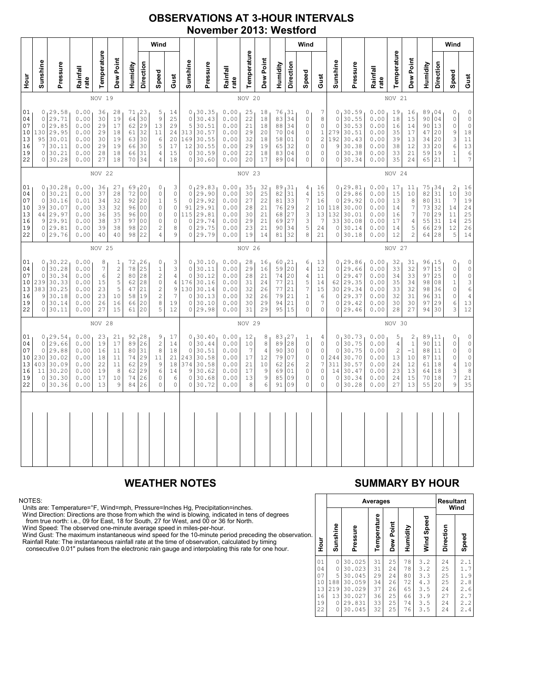### OBSERVATIONS AT 3-HOUR INTERVALS November 2013: Westford

|                                              |                                                                                                                                                                                                                                                                                                                                                                                                                                                                                                |                                                                           |                                                              |                                              |                                                                   |                                                         |                                                                                  | Wind                                                                                                                            |                                                                                                |                                                                            |                                                                         |                                                              |                                                         |                                                                          |                                                              | Wind                                                                  |                                                                |                                              |                                                                           |                                                                         |                                                              |                                                                                           |                                                                                                                 |                                                        |                                         | Wind                                                                |                                                                                         |
|----------------------------------------------|------------------------------------------------------------------------------------------------------------------------------------------------------------------------------------------------------------------------------------------------------------------------------------------------------------------------------------------------------------------------------------------------------------------------------------------------------------------------------------------------|---------------------------------------------------------------------------|--------------------------------------------------------------|----------------------------------------------|-------------------------------------------------------------------|---------------------------------------------------------|----------------------------------------------------------------------------------|---------------------------------------------------------------------------------------------------------------------------------|------------------------------------------------------------------------------------------------|----------------------------------------------------------------------------|-------------------------------------------------------------------------|--------------------------------------------------------------|---------------------------------------------------------|--------------------------------------------------------------------------|--------------------------------------------------------------|-----------------------------------------------------------------------|----------------------------------------------------------------|----------------------------------------------|---------------------------------------------------------------------------|-------------------------------------------------------------------------|--------------------------------------------------------------|-------------------------------------------------------------------------------------------|-----------------------------------------------------------------------------------------------------------------|--------------------------------------------------------|-----------------------------------------|---------------------------------------------------------------------|-----------------------------------------------------------------------------------------|
| Hour<br>P                                    | Sunshine                                                                                                                                                                                                                                                                                                                                                                                                                                                                                       | Pressure                                                                  | Rainfall<br>rate                                             | Temperature                                  | Dew Point                                                         | Humidity                                                | <b>Direction</b>                                                                 | Speed                                                                                                                           | Gust                                                                                           | Sunshine                                                                   | Pressure                                                                | Rainfall<br>rate                                             | Temperature                                             | Dew Point                                                                | Humidity                                                     | Direction                                                             | Speed                                                          | Gust                                         | Sunshine                                                                  | Pressure                                                                | Rainfall<br>rate                                             | Temperature                                                                               | Dew Point                                                                                                       | Humidity                                               | Direction                               | Speed                                                               | Gust                                                                                    |
|                                              |                                                                                                                                                                                                                                                                                                                                                                                                                                                                                                |                                                                           |                                                              | NOV 19                                       |                                                                   |                                                         |                                                                                  |                                                                                                                                 |                                                                                                |                                                                            |                                                                         |                                                              | NOV 20                                                  |                                                                          |                                                              |                                                                       |                                                                |                                              | NOV 21                                                                    |                                                                         |                                                              |                                                                                           |                                                                                                                 |                                                        |                                         |                                                                     |                                                                                         |
| 01<br>04<br>07<br>10<br>13<br>16<br>19<br>22 | 0, 29.58<br>0.00<br>71, 23<br>36<br>28<br>5<br>14<br>29.71<br>9<br>0.00<br>64<br>30<br>25<br>$\circ$<br>30<br>19<br>$\circ$<br>29.85<br>0.00<br>29<br>17<br>62<br>29<br>13<br>29<br>29.95<br>130<br>0.00<br>29<br>18<br>32<br>11<br>24<br>61<br>30.01<br>95<br>0.00<br>30<br>19<br>63<br>30<br>6<br>20<br>30.11<br>5<br>17<br>7<br>0.00<br>29<br>19<br>66<br>30<br>0<br>30.21<br>0.00<br>28<br>18<br>31<br>$\overline{4}$<br>15<br>66<br>30.28<br>0<br>0.00<br>27<br>18<br>70<br>34<br>4<br>18 |                                                                           |                                                              |                                              |                                                                   | $\circ$<br>5<br>313<br>169<br>12<br>$\circ$<br>$\Omega$ | 0, 30.35<br>30.43<br>30.51<br>30.57<br>30.55<br>30.55<br>30.59<br>30.60          | 0.00<br>0.00<br>0.00<br>0.00<br>0.00<br>0.00<br>0.00<br>0.00                                                                    | 25<br>22<br>21<br>29<br>32<br>29<br>22<br>20                                                   | 18<br>18<br>18<br>20<br>18<br>19<br>18<br>17                               | 76, 31<br>83<br>88<br>70<br>58<br>65<br>83<br>89                        | 34<br>34<br>04<br>01<br>32<br>04<br>04                       | 0<br>0<br>0<br>0<br>0<br>0<br>0<br>$\Omega$             | 7<br>8<br>0<br>$\mathbf{1}$<br>$\sqrt{2}$<br>0<br>0<br>$\Omega$          | 0<br>$\Omega$<br>0<br>279<br>192<br>9<br>$\circ$<br>$\Omega$ | 130.59<br>30.55<br>30.53<br>30.51<br>30.43<br>30.38<br>30.38<br>30.34 | 0.00<br>0.00<br>0.00<br>0.00<br>0.00<br>0.00<br>0.00<br>0.00   | 19<br>18<br>16<br>35<br>39<br>38<br>33<br>35 | 16<br>15<br>14<br>17<br>13<br>12<br>21<br>24                              | 89,04<br>90 04<br>90<br>47<br>34<br>33<br>59 19<br>65                   | 13<br>20<br>20<br>20<br>21                                   | 0<br>$\circ$<br>$\mathsf{O}\xspace$<br>9<br>3<br>$\epsilon$<br>$\mathbf 1$<br>$\mathbf 1$ | $\mathbb O$<br>$\circ$<br>$\mathbb O$<br>$18\,$<br>11<br>13<br>6<br>$\overline{7}$                              |                                                        |                                         |                                                                     |                                                                                         |
|                                              | NOV 22                                                                                                                                                                                                                                                                                                                                                                                                                                                                                         |                                                                           |                                                              |                                              |                                                                   |                                                         |                                                                                  |                                                                                                                                 | NOV 23                                                                                         |                                                                            |                                                                         |                                                              |                                                         |                                                                          |                                                              |                                                                       |                                                                | NOV 24                                       |                                                                           |                                                                         |                                                              |                                                                                           |                                                                                                                 |                                                        |                                         |                                                                     |                                                                                         |
| 01<br>04<br>07<br>10<br>13<br>16<br>19<br>22 | $\mathsf{O}$<br>$\circ$<br>39<br>44<br>9<br>0                                                                                                                                                                                                                                                                                                                                                                                                                                                  | 0, 30.28<br>30.21<br>30.16<br>30.07<br>29.97<br>29.91<br>29.81<br>0 29.76 | 0.00<br>0.00<br>0.01<br>0.00<br>0.00<br>0.00<br>0.00<br>0.00 | 36<br>37<br>34<br>33<br>36<br>38<br>39<br>40 | 27<br>28<br>32<br>32<br>35<br>37<br>38<br>40                      | 69<br>72<br>92<br>96<br>96<br>97<br>98<br>98            | 20<br>0 <sub>0</sub><br>20<br>0 <sub>0</sub><br>00<br>0 <sub>0</sub><br>20<br>22 | 0<br>$\mathsf{O}\xspace$<br>$\mathbf{1}$<br>0<br>0<br>$\mathbf 0$<br>$\overline{c}$<br>$\overline{4}$                           | 3<br>$\mathbb O$<br>5<br>$\mathbb O$<br>$\mathbb O$<br>$\mathsf{O}\xspace$<br>$\,$ 8 $\,$<br>9 | $\circ$<br>$\mathbf{0}$<br>91<br>115<br>$\mathbf 0$<br>$\circ$<br>0        | 0, 29.83<br>29.90<br>29.92<br>29.91<br>29.81<br>29.74<br>29.75<br>29.79 | 0.00<br>0.00<br>0.00<br>0.00<br>0.00<br>0.00<br>0.00<br>0.00 | 35<br>30<br>27<br>28<br>30<br>29<br>23<br>19            | 32<br>25<br>22<br>21<br>21<br>21<br>21<br>14                             | 89<br>82<br>81<br>76<br>68<br>69<br>90<br>81                 | 131<br>31<br>33<br>29<br>27<br>27<br>34<br>32                         | 4<br>4<br>7<br>$\overline{c}$<br>3<br>3<br>5<br>8              | 16<br>15<br>16<br>10<br>13<br>7<br>24<br>21  | 0<br>$\mathbf 0$<br>$\circ$<br>118<br>132<br>33<br>$\circ$<br>0           | 129.81<br>29.86<br>29.92<br>30.00<br>30.01<br>30.08<br>30.14<br>30.18   | 0.00<br>0.00<br>0.00<br>0.00<br>0.00<br>0.00<br>0.00<br>0.00 | 17<br>15<br>13<br>14<br>16<br>17<br>14<br>12                                              | 11<br>$10$<br>$^{\rm 8}$<br>$\boldsymbol{7}$<br>$\boldsymbol{7}$<br>$\sqrt{4}$<br>$\mathsf S$<br>$\overline{c}$ | 75, 34<br>82<br>80 <br>73<br>70<br>55<br>66<br>64 28   | 31<br>31<br>32<br>29<br>31<br> 29       | $\overline{c}$<br>10<br>$\overline{7}$<br>14<br>11<br>14<br>12<br>5 | 16<br>30<br>19<br>24<br>25<br>25<br>26<br>14                                            |
|                                              |                                                                                                                                                                                                                                                                                                                                                                                                                                                                                                |                                                                           |                                                              | NOV 25                                       |                                                                   |                                                         |                                                                                  |                                                                                                                                 |                                                                                                |                                                                            | NOV 26                                                                  |                                                              |                                                         |                                                                          |                                                              |                                                                       |                                                                | NOV 27                                       |                                                                           |                                                                         |                                                              |                                                                                           |                                                                                                                 |                                                        |                                         |                                                                     |                                                                                         |
| 01<br>04<br>07<br>10<br>13<br>16<br>19<br>22 | $\circ$<br>$\circ$<br>239<br>383<br>9<br>0                                                                                                                                                                                                                                                                                                                                                                                                                                                     | 0, 30.22<br>30.28<br>30.34<br>30.33<br>30.25<br>30.18<br>30.14<br>0 30.11 | 0.00<br>0.00<br>0.00<br>0.00<br>0.00<br>0.00<br>0.00<br>0.00 | 8<br>7<br>6<br>15<br>23<br>23<br>26<br>27    | 1<br>$\overline{c}$<br>$\overline{c}$<br>5<br>5<br>10<br>16<br>15 | 72<br>78<br>80<br>62<br>47<br>58<br>66<br>61            | 126<br>25<br>28<br>28<br>21<br>19<br>20<br>20                                    | 0<br>$\mathbf{1}$<br>$\overline{c}$<br>0<br>$\overline{c}$<br>$\overline{c}$<br>8<br>5                                          | 3<br>3<br>$\sqrt{4}$<br>$\overline{4}$<br>$\mathsf 9$<br>7<br>19<br>12                         | 0<br>$\circ$<br>$\circ$<br>176<br>130<br>$\mathbf 0$<br>$\circ$<br>$\circ$ | 30.10<br>30.11<br>30.12<br>30.16<br>30.14<br>30.13<br>30.10<br>29.98    | 0.00<br>0.00<br>0.00<br>0.00<br>0.00<br>0.00<br>0.00<br>0.00 | 28<br>29<br>28<br>31<br>32<br>32<br>30<br>31            | 16<br>16<br>21<br>24<br>26<br>26<br>29<br>29                             | 60, 21<br>59<br>74<br>77<br>77<br>79<br>94<br>95             | 20<br>20<br>21<br>21<br>21<br>21<br>15                                | 6<br>4<br>4<br>5<br>7<br>$\mathbf{1}$<br>0<br>$\Omega$         | 13<br>12<br>11<br>14<br>15<br>6<br>7<br>0    | 0<br>$\circ$<br>$\circ$<br>62<br>30 <sup>1</sup><br>$\circ$<br>$\Omega$   | 129.86<br>29.66<br>29.47<br>29.35<br>29.34<br>29.37<br>29.42<br>0 29.46 | 0.00<br>0.00<br>0.00<br>0.00<br>0.00<br>0.00<br>0.00<br>0.00 | 32<br>33<br>34<br>35<br>33<br>32<br>30<br>28                                              | 31<br>32<br>33<br>34<br>32<br>31<br>30<br>27                                                                    | 96, 15<br>97 15<br>97<br>98<br>98<br>96<br>97<br>94 30 | 25<br>08<br>36<br>31<br>29              | 0<br>0<br>$\circ$<br>$\mathbf{1}$<br>0<br>0<br>6<br>3               | $\mathbb O$<br>$\circ$<br>$\circ$<br>$\frac{3}{6}$<br>$\overline{4}$<br>13<br>12        |
|                                              |                                                                                                                                                                                                                                                                                                                                                                                                                                                                                                |                                                                           |                                                              | NOV 28                                       |                                                                   |                                                         |                                                                                  |                                                                                                                                 |                                                                                                |                                                                            |                                                                         |                                                              | NOV 29                                                  |                                                                          |                                                              |                                                                       |                                                                |                                              |                                                                           |                                                                         |                                                              | NOV 30                                                                                    |                                                                                                                 |                                                        |                                         |                                                                     |                                                                                         |
| 01<br>04<br>07<br>10<br>13<br>16<br>19<br>22 | $\Omega$<br>$\circ$<br>230<br>403<br>11<br>0                                                                                                                                                                                                                                                                                                                                                                                                                                                   | 0, 29.54<br>29.66<br>29.88<br>30.02<br>30.09<br>30.20<br>30.30<br>0 30.36 | 0.00<br>0.00<br>0.00<br>0.00<br>0.00<br>0.00<br>0.00<br>0.00 | 23<br>19<br>16<br>18<br>22<br>19<br>17<br>13 | 21<br>17<br>11<br>11<br>11<br>8<br>10<br>9                        | 92<br>89<br>74<br>62<br>62<br>74<br>84                  | 128<br>26<br>80 31<br>29<br>29<br>29<br>26<br>26                                 | 9<br>$\mathfrak{2}% \left( \mathfrak{2}\right) ^{2}$<br>8<br>11<br>$\mathsf 9$<br>$\epsilon$<br>$\mathsf{O}\xspace$<br>$\Omega$ | 17<br>14<br>18<br>21<br>18<br>14<br>6<br>$\mathsf{O}\xspace$                                   | $\circ$<br>$\circ$<br>243<br>374<br>9<br>$\circ$<br>$\circ$                | 0, 30.40<br>30.44<br>30.51<br>30.58<br>30.58<br>30.62<br>30.68<br>30.72 | 0.00<br>0.00<br>0.00<br>0.00<br>0.00<br>0.00<br>0.00<br>0.00 | 12<br>10<br>$\overline{7}$<br>17<br>21<br>17<br>13<br>8 | 8<br>$\,8\,$<br>$\sqrt{4}$<br>12<br>10<br>9<br>$\mathsf 9$<br>$\epsilon$ | 83, 27<br>89<br>90<br>79<br>62<br>69<br>85<br>91             | 28<br>30<br>07<br>26<br>01<br>09<br>09                                | 1<br>$\circ$<br>0<br>0<br>$\overline{c}$<br>0<br>0<br>$\Omega$ | 4<br>0<br>0<br>$\circ$<br>7<br>0<br>0<br>0   | $\circ$<br>$\Omega$<br>$\circ$<br>244<br>311<br>14<br>$\circ$<br>$\Omega$ | 30.73<br>30.75<br>30.75<br>30.70<br>30.57<br>30.47<br>30.34<br>30.28    | 0.00<br>0.00<br>0.00<br>0.00<br>0.00<br>0.00<br>0.00<br>0.00 | 5<br>$\overline{4}$<br>$\overline{c}$<br>13<br>24<br>23<br>24<br>27                       | $\frac{2}{1}$<br>$-1$<br>10<br>12<br>13<br>15<br>13                                                             | 89,11<br>90<br>88<br>87<br>61<br>64<br>70<br>55        | 11<br> 11<br>11<br>18<br>18<br>18<br>20 | 0<br>$\circ$<br>0<br>0<br>$\sqrt{4}$<br>3<br>$\boldsymbol{7}$<br>9  | $\circ$<br>$\mathbb O$<br>$\mathbb O$<br>$\mathbb O$<br>$10$<br>$\,$ 8 $\,$<br>21<br>35 |
|                                              |                                                                                                                                                                                                                                                                                                                                                                                                                                                                                                |                                                                           |                                                              |                                              |                                                                   |                                                         |                                                                                  |                                                                                                                                 |                                                                                                |                                                                            |                                                                         |                                                              |                                                         |                                                                          |                                                              |                                                                       |                                                                |                                              |                                                                           |                                                                         |                                                              |                                                                                           |                                                                                                                 |                                                        |                                         |                                                                     |                                                                                         |

### NOTES:

Units are: Temperature=°F, Wind=mph, Pressure=Inches Hg, Precipitation=inches.

Wind Direction: Directions are those from which the wind is blowing, indicated in tens of degrees from true north: i.e., 09 for East, 18 for South, 27 for West, and 00 or 36 for North.

Wind Speed: The observed one-minute average speed in miles-per-hour.

Wind Gust: The maximum instantaneous wind speed for the 10-minute period preceding the observation Rainfall Rate: The instantaneous rainfall rate at the time of observation, calculated by timing

consecutive 0.01" pulses from the electronic rain gauge and interpolating this rate for one hour.

### WEATHER NOTES SUMMARY BY HOUR

|    |                                              |                                           |                                                                              | <b>Averages</b>                              |                                              |                                              |                                                      | <b>Resultant</b><br>Wind                     |                                                       |  |  |  |
|----|----------------------------------------------|-------------------------------------------|------------------------------------------------------------------------------|----------------------------------------------|----------------------------------------------|----------------------------------------------|------------------------------------------------------|----------------------------------------------|-------------------------------------------------------|--|--|--|
| ì. | Hour                                         | Sunshine                                  | Pressure                                                                     | Temperature                                  | Dew Point                                    | Humidity                                     | Wind Speed                                           | Direction                                    | Speed                                                 |  |  |  |
|    | 01<br>04<br>07<br>10<br>13<br>16<br>19<br>22 | 0<br>0<br>5<br>188<br>219<br>13<br>0<br>0 | 30.025<br>30.023<br>30.045<br>30.059<br>30.029<br>30.027<br>29.831<br>30.045 | 31<br>31<br>29<br>34<br>37<br>36<br>33<br>32 | 25<br>24<br>24<br>26<br>26<br>25<br>25<br>25 | 78<br>78<br>80<br>72<br>65<br>66<br>74<br>76 | 3.2<br>3.2<br>3.3<br>4.3<br>3.5<br>3.9<br>3.5<br>3.5 | 24<br>25<br>25<br>25<br>24<br>27<br>24<br>24 | 2.1<br>1.7<br>1.9<br>2.8<br>2.6<br>2.7<br>2, 2<br>2.4 |  |  |  |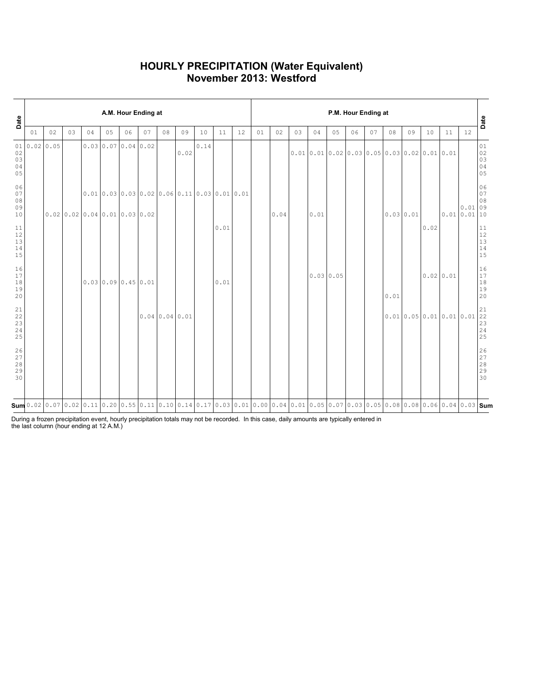### HOURLY PRECIPITATION (Water Equivalent) November 2013: Westford

| Date                                                      |    |             |    |    |    | A.M. Hour Ending at                                                                                                                                                                                                                                                                                                   |    |                |      |      |      |    |    |      |    |      |           |    | P.M. Hour Ending at |          |                                                                        |           |    |                  | Date                                                                                     |
|-----------------------------------------------------------|----|-------------|----|----|----|-----------------------------------------------------------------------------------------------------------------------------------------------------------------------------------------------------------------------------------------------------------------------------------------------------------------------|----|----------------|------|------|------|----|----|------|----|------|-----------|----|---------------------|----------|------------------------------------------------------------------------|-----------|----|------------------|------------------------------------------------------------------------------------------|
|                                                           | 01 | 02          | 03 | 04 | 05 | 06                                                                                                                                                                                                                                                                                                                    | 07 | 08             | 09   | 10   | 11   | 12 | 01 | 02   | 03 | 04   | 05        | 06 | 07                  | 08       | 09                                                                     | 10        | 11 | $12$             |                                                                                          |
| 01<br>02<br>03<br>04<br>05                                |    | 0.02   0.05 |    |    |    | $0.03 \mid 0.07 \mid 0.04 \mid 0.02$                                                                                                                                                                                                                                                                                  |    |                | 0.02 | 0.14 |      |    |    |      |    |      |           |    |                     |          | $0.01 \, 0.01 \, 0.02 \, 0.03 \, 0.05 \, 0.03 \, 0.02 \, 0.01 \, 0.01$ |           |    |                  | 01<br>$\begin{array}{c} 02 \\ 03 \end{array}$<br>04<br>05                                |
| 06<br>07<br>08<br>09<br>$10$                              |    |             |    |    |    | 0.010.030.030.020.060.110.030.010.01<br>$0.02$ 0.02 0.04 0.01 0.03 0.02                                                                                                                                                                                                                                               |    |                |      |      |      |    |    | 0.04 |    | 0.01 |           |    |                     | 0.030.01 |                                                                        |           |    | 0.01<br>0.010.01 | 06<br>07<br>08<br>09<br>10                                                               |
| 11<br>$12$<br>$13$<br>$14$<br>15                          |    |             |    |    |    |                                                                                                                                                                                                                                                                                                                       |    |                |      |      | 0.01 |    |    |      |    |      |           |    |                     |          |                                                                        | 0.02      |    |                  | 11<br>$12$<br>$\begin{array}{c} 13 \\ 14 \end{array}$<br>15                              |
| 16<br>17<br>$1\,8$<br>19<br>20                            |    |             |    |    |    | 0.0300.090.450.01                                                                                                                                                                                                                                                                                                     |    |                |      |      | 0.01 |    |    |      |    |      | 0.0300.05 |    |                     | 0.01     |                                                                        | 0.0200.01 |    |                  | 16<br>17<br>$1\,8$<br>19<br>20                                                           |
| $\begin{array}{c} 21 \\ 22 \end{array}$<br>23<br>24<br>25 |    |             |    |    |    |                                                                                                                                                                                                                                                                                                                       |    | 0.0400.0400.01 |      |      |      |    |    |      |    |      |           |    |                     |          | 0.010.050.010.010.01                                                   |           |    |                  | $\begin{smallmatrix} 21\\ 22 \end{smallmatrix}$<br>23<br>24<br>25                        |
| 26<br>27<br>28<br>29<br>30                                |    |             |    |    |    |                                                                                                                                                                                                                                                                                                                       |    |                |      |      |      |    |    |      |    |      |           |    |                     |          |                                                                        |           |    |                  | $\begin{array}{c} 26 \\ 27 \end{array}$<br>$\begin{array}{c} 28 \\ 29 \end{array}$<br>30 |
|                                                           |    |             |    |    |    | $\operatorname{\mathsf{Sum}}$ 0.02 $\mid$ 0.07 $\mid$ 0.02 $\mid$ 0.11 $\mid$ 0.20 $\mid$ 0.55 $\mid$ 0.11 $\mid$ 0.10 $\mid$ 0.14 $\mid$ 0.17 $\mid$ 0.03 $\mid$ 0.01 $\mid$ 0.00 $\mid$ 0.01 $\mid$ 0.05 $\mid$ 0.07 $\mid$ 0.03 $\mid$ 0.05 $\mid$ 0.08 $\mid$ 0.08 $\mid$ 0.06 $\mid$ 0.09 $\mid$ 0.03 $\mid$ Sum |    |                |      |      |      |    |    |      |    |      |           |    |                     |          |                                                                        |           |    |                  |                                                                                          |

During a frozen precipitation event, hourly precipitation totals may not be recorded. In this case, daily amounts are typically entered in the last column (hour ending at 12 A.M.)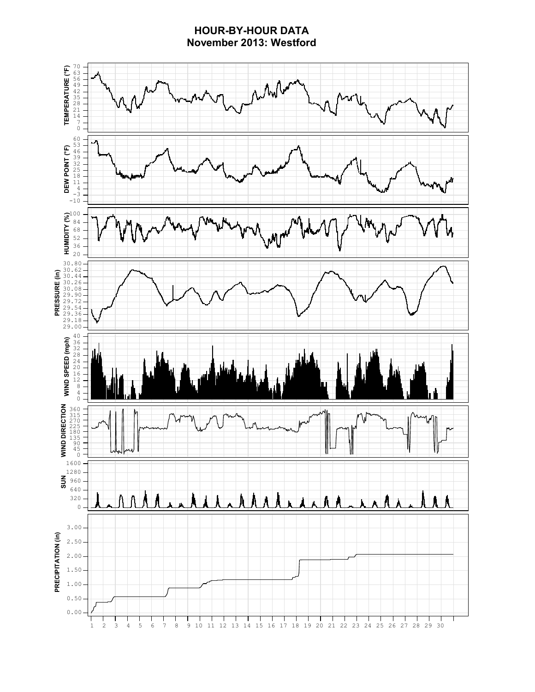### HOUR-BY-HOUR DATA November 2013: Westford